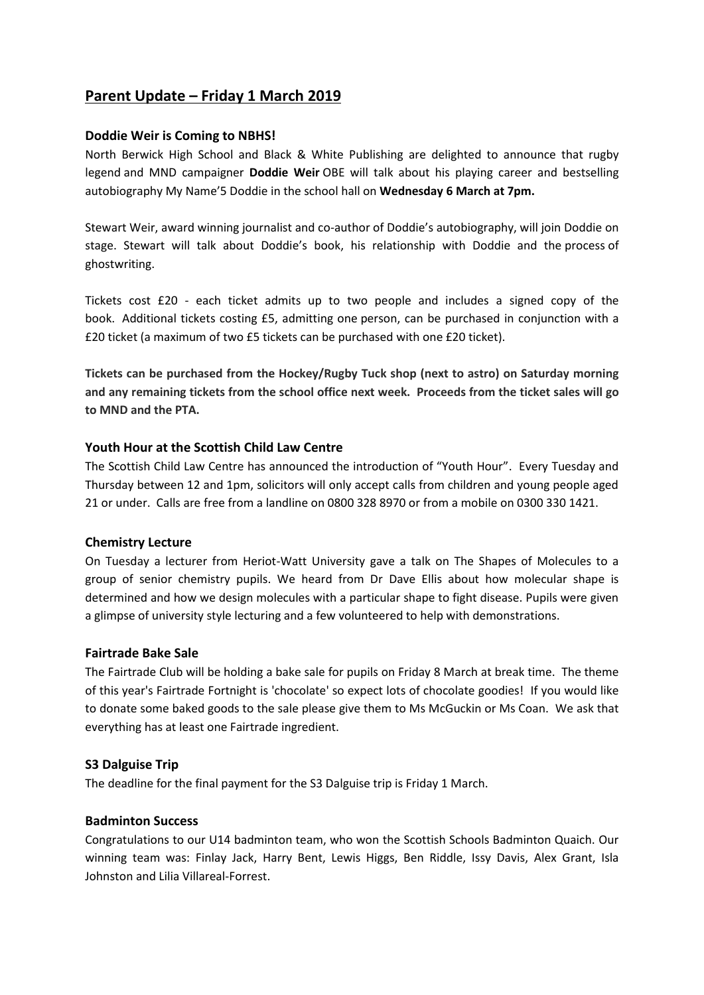# **Parent Update – Friday 1 March 2019**

## **Doddie Weir is Coming to NBHS!**

North Berwick High School and Black & White Publishing are delighted to announce that rugby legend and MND campaigner **Doddie Weir** OBE will talk about his playing career and bestselling autobiography My Name'5 Doddie in the school hall on **Wednesday 6 March at 7pm.**

Stewart Weir, award winning journalist and co-author of Doddie's autobiography, will join Doddie on stage. Stewart will talk about Doddie's book, his relationship with Doddie and the process of ghostwriting.

Tickets cost £20 - each ticket admits up to two people and includes a signed copy of the book. Additional tickets costing £5, admitting one person, can be purchased in conjunction with a £20 ticket (a maximum of two £5 tickets can be purchased with one £20 ticket).

**Tickets can be purchased from the Hockey/Rugby Tuck shop (next to astro) on Saturday morning and any remaining tickets from the school office next week. Proceeds from the ticket sales will go to MND and the PTA.**

## **Youth Hour at the Scottish Child Law Centre**

The Scottish Child Law Centre has announced the introduction of "Youth Hour". Every Tuesday and Thursday between 12 and 1pm, solicitors will only accept calls from children and young people aged 21 or under. Calls are free from a landline on 0800 328 8970 or from a mobile on 0300 330 1421.

#### **Chemistry Lecture**

On Tuesday a lecturer from Heriot-Watt University gave a talk on The Shapes of Molecules to a group of senior chemistry pupils. We heard from Dr Dave Ellis about how molecular shape is determined and how we design molecules with a particular shape to fight disease. Pupils were given a glimpse of university style lecturing and a few volunteered to help with demonstrations.

#### **Fairtrade Bake Sale**

The Fairtrade Club will be holding a bake sale for pupils on Friday 8 March at break time. The theme of this year's Fairtrade Fortnight is 'chocolate' so expect lots of chocolate goodies! If you would like to donate some baked goods to the sale please give them to Ms McGuckin or Ms Coan. We ask that everything has at least one Fairtrade ingredient.

# **S3 Dalguise Trip**

The deadline for the final payment for the S3 Dalguise trip is Friday 1 March.

#### **Badminton Success**

Congratulations to our U14 badminton team, who won the Scottish Schools Badminton Quaich. Our winning team was: Finlay Jack, Harry Bent, Lewis Higgs, Ben Riddle, Issy Davis, Alex Grant, Isla Johnston and Lilia Villareal-Forrest.